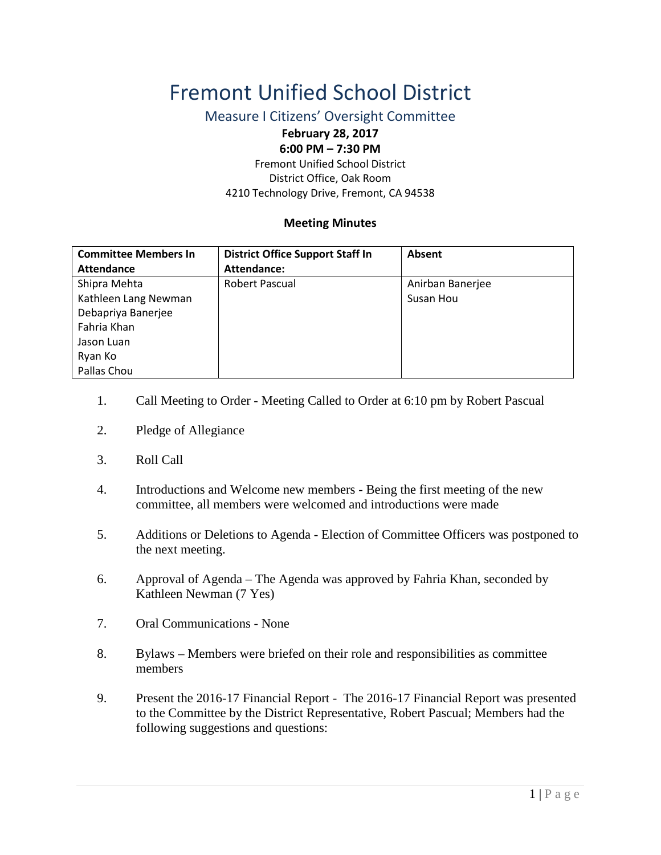## Fremont Unified School District

Measure I Citizens' Oversight Committee

## **February 28, 2017 6:00 PM – 7:30 PM**

Fremont Unified School District District Office, Oak Room 4210 Technology Drive, Fremont, CA 94538

## **Meeting Minutes**

| <b>Committee Members In</b> | <b>District Office Support Staff In</b> | Absent           |
|-----------------------------|-----------------------------------------|------------------|
| <b>Attendance</b>           | Attendance:                             |                  |
| Shipra Mehta                | Robert Pascual                          | Anirban Banerjee |
| Kathleen Lang Newman        |                                         | Susan Hou        |
| Debapriya Banerjee          |                                         |                  |
| Fahria Khan                 |                                         |                  |
| Jason Luan                  |                                         |                  |
| Ryan Ko                     |                                         |                  |
| Pallas Chou                 |                                         |                  |

- 1. Call Meeting to Order Meeting Called to Order at 6:10 pm by Robert Pascual
- 2. Pledge of Allegiance
- 3. Roll Call
- 4. Introductions and Welcome new members Being the first meeting of the new committee, all members were welcomed and introductions were made
- 5. Additions or Deletions to Agenda Election of Committee Officers was postponed to the next meeting.
- 6. Approval of Agenda The Agenda was approved by Fahria Khan, seconded by Kathleen Newman (7 Yes)
- 7. Oral Communications None
- 8. Bylaws Members were briefed on their role and responsibilities as committee members
- 9. Present the 2016-17 Financial Report The 2016-17 Financial Report was presented to the Committee by the District Representative, Robert Pascual; Members had the following suggestions and questions: